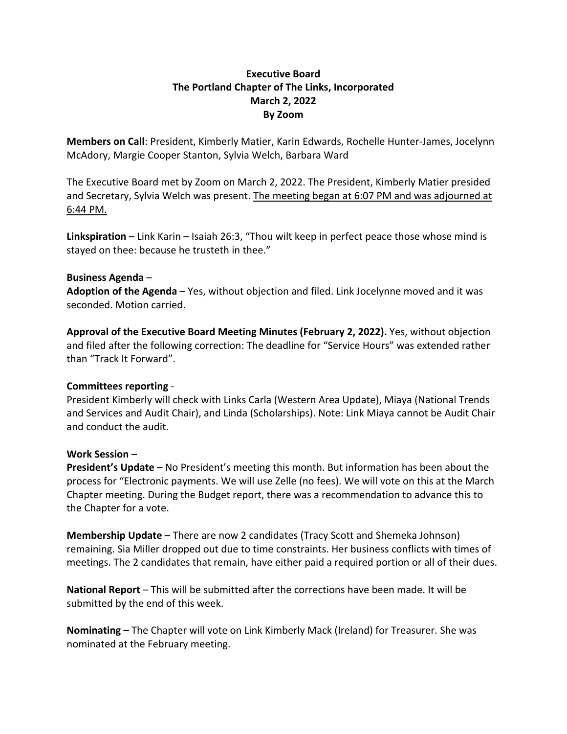## **Executive Board The Portland Chapter of The Links, Incorporated March 2, 2022 By Zoom**

**Members on Call**: President, Kimberly Matier, Karin Edwards, Rochelle Hunter-James, Jocelynn McAdory, Margie Cooper Stanton, Sylvia Welch, Barbara Ward

The Executive Board met by Zoom on March 2, 2022. The President, Kimberly Matier presided and Secretary, Sylvia Welch was present. The meeting began at 6:07 PM and was adjourned at 6:44 PM.

**Linkspiration** – Link Karin – Isaiah 26:3, "Thou wilt keep in perfect peace those whose mind is stayed on thee: because he trusteth in thee."

## **Business Agenda** –

**Adoption of the Agenda** – Yes, without objection and filed. Link Jocelynne moved and it was seconded. Motion carried.

**Approval of the Executive Board Meeting Minutes (February 2, 2022).** Yes, without objection and filed after the following correction: The deadline for "Service Hours" was extended rather than "Track It Forward".

## **Committees reporting** -

President Kimberly will check with Links Carla (Western Area Update), Miaya (National Trends and Services and Audit Chair), and Linda (Scholarships). Note: Link Miaya cannot be Audit Chair and conduct the audit.

## **Work Session** –

**President's Update** – No President's meeting this month. But information has been about the process for "Electronic payments. We will use Zelle (no fees). We will vote on this at the March Chapter meeting. During the Budget report, there was a recommendation to advance this to the Chapter for a vote.

**Membership Update** – There are now 2 candidates (Tracy Scott and Shemeka Johnson) remaining. Sia Miller dropped out due to time constraints. Her business conflicts with times of meetings. The 2 candidates that remain, have either paid a required portion or all of their dues.

**National Report** – This will be submitted after the corrections have been made. It will be submitted by the end of this week.

**Nominating** – The Chapter will vote on Link Kimberly Mack (Ireland) for Treasurer. She was nominated at the February meeting.